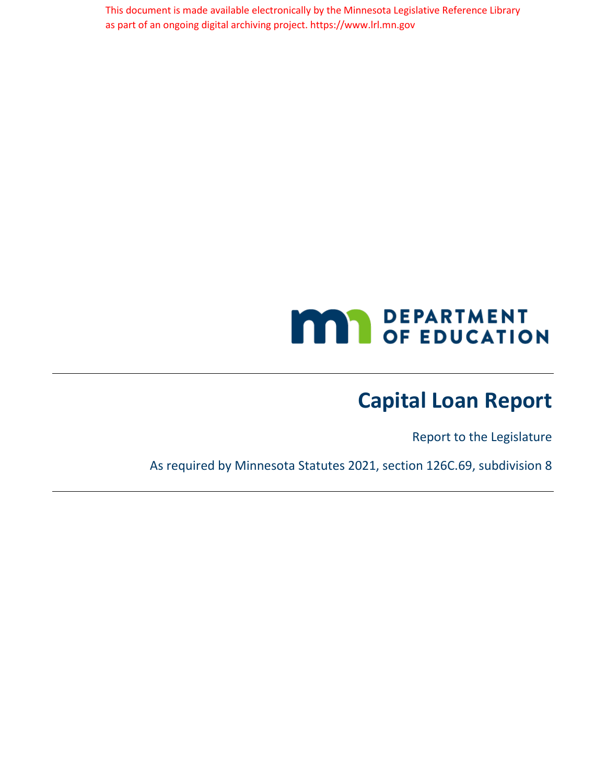This document is made available electronically by the Minnesota Legislative Reference Library as part of an ongoing digital archiving project. https://www.lrl.mn.gov

# **MAY DEPARTMENT**

# **Capital Loan Report**

Report to the Legislature

As required by Minnesota Statutes 2021, section 126C.69, subdivision 8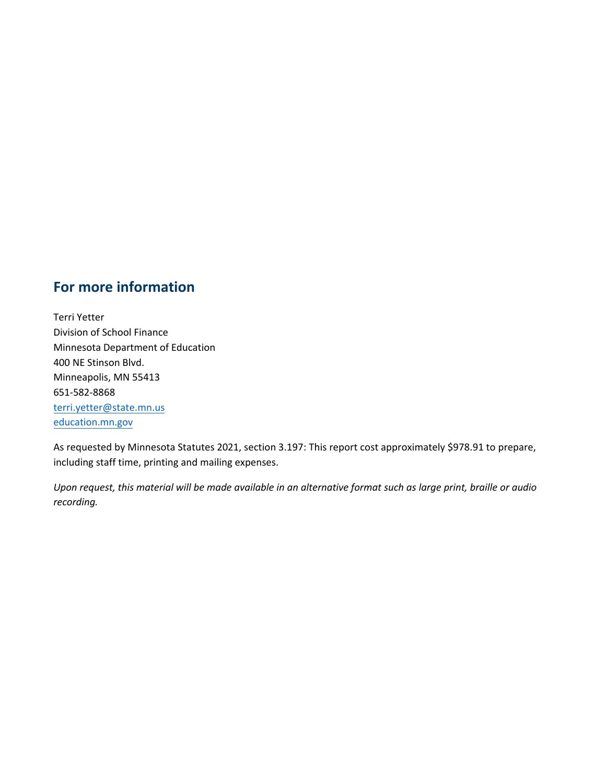#### <span id="page-1-0"></span>**For more information**

Terri Yetter Division of School Finance Minnesota Department of Education 400 NE Stinson Blvd. Minneapolis, MN 55413 651-582-8868 [terri.yetter@state.mn.us](mailto:terri.yetter@state.mn.us) [education.mn.gov](https://education.mn.gov/mde/index.html)

As requested by Minnesota Statutes 2021, section 3.197: This report cost approximately \$978.91 to prepare, including staff time, printing and mailing expenses.

*Upon request, this material will be made available in an alternative format such as large print, braille or audio recording.*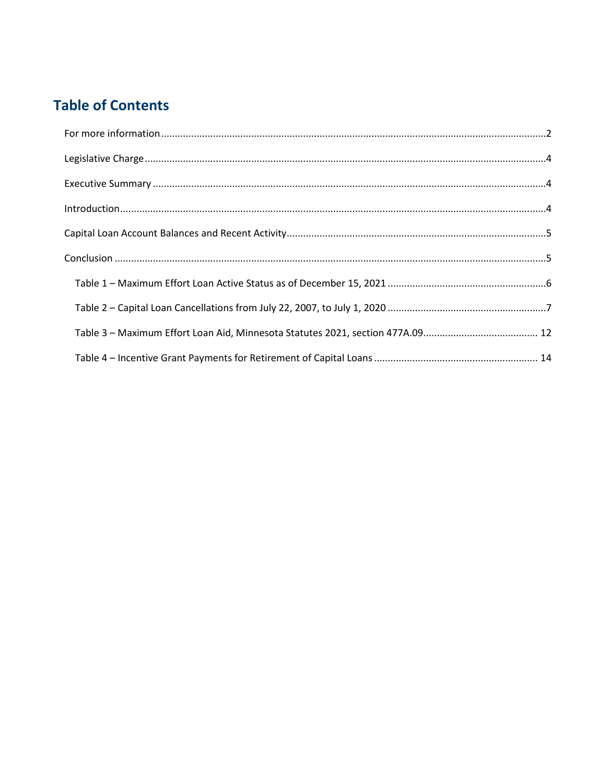# **Table of Contents**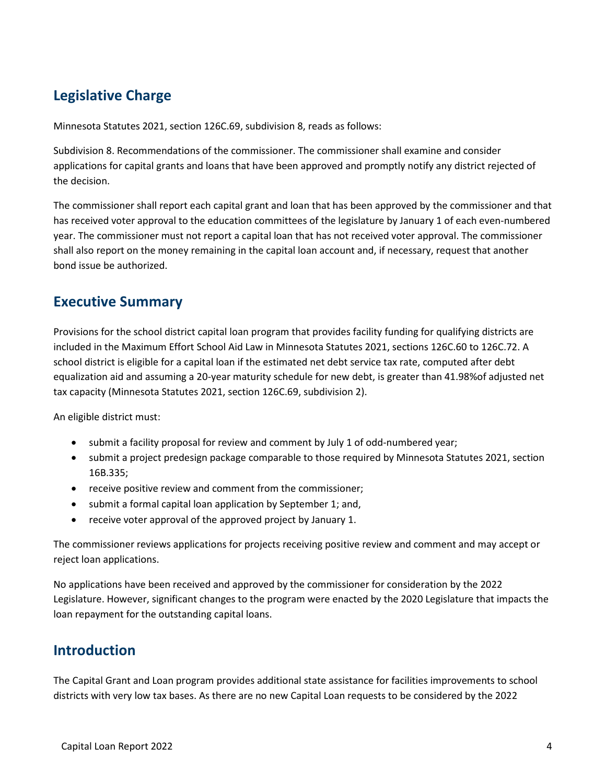## <span id="page-3-0"></span>**Legislative Charge**

Minnesota Statutes 2021, section 126C.69, subdivision 8, reads as follows:

Subdivision 8. Recommendations of the commissioner. The commissioner shall examine and consider applications for capital grants and loans that have been approved and promptly notify any district rejected of the decision.

The commissioner shall report each capital grant and loan that has been approved by the commissioner and that has received voter approval to the education committees of the legislature by January 1 of each even-numbered year. The commissioner must not report a capital loan that has not received voter approval. The commissioner shall also report on the money remaining in the capital loan account and, if necessary, request that another bond issue be authorized.

#### <span id="page-3-1"></span>**Executive Summary**

Provisions for the school district capital loan program that provides facility funding for qualifying districts are included in the Maximum Effort School Aid Law in Minnesota Statutes 2021, sections 126C.60 to 126C.72. A school district is eligible for a capital loan if the estimated net debt service tax rate, computed after debt equalization aid and assuming a 20-year maturity schedule for new debt, is greater than 41.98%of adjusted net tax capacity (Minnesota Statutes 2021, section 126C.69, subdivision 2).

An eligible district must:

- submit a facility proposal for review and comment by July 1 of odd-numbered year;
- submit a project predesign package comparable to those required by Minnesota Statutes 2021, section 16B.335;
- receive positive review and comment from the commissioner;
- submit a formal capital loan application by September 1; and,
- receive voter approval of the approved project by January 1.

The commissioner reviews applications for projects receiving positive review and comment and may accept or reject loan applications.

No applications have been received and approved by the commissioner for consideration by the 2022 Legislature. However, significant changes to the program were enacted by the 2020 Legislature that impacts the loan repayment for the outstanding capital loans.

#### <span id="page-3-2"></span>**Introduction**

The Capital Grant and Loan program provides additional state assistance for facilities improvements to school districts with very low tax bases. As there are no new Capital Loan requests to be considered by the 2022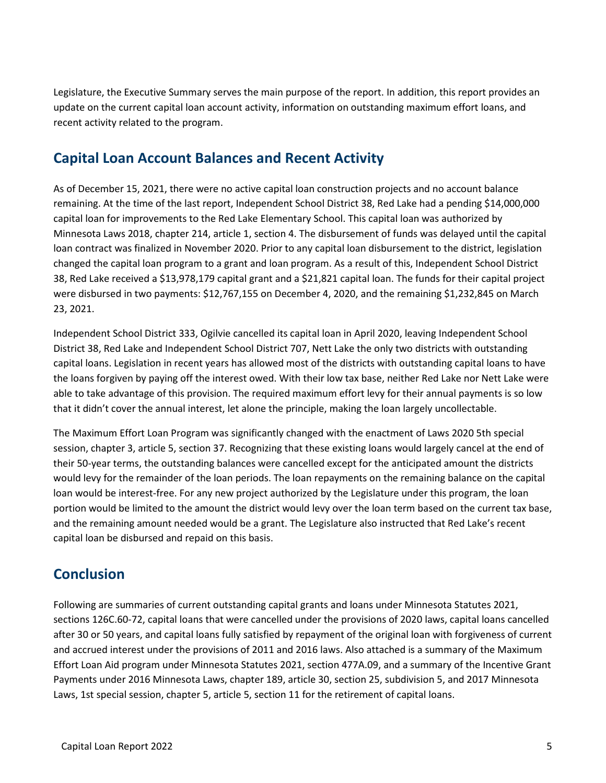Legislature, the Executive Summary serves the main purpose of the report. In addition, this report provides an update on the current capital loan account activity, information on outstanding maximum effort loans, and recent activity related to the program.

#### <span id="page-4-0"></span>**Capital Loan Account Balances and Recent Activity**

As of December 15, 2021, there were no active capital loan construction projects and no account balance remaining. At the time of the last report, Independent School District 38, Red Lake had a pending \$14,000,000 capital loan for improvements to the Red Lake Elementary School. This capital loan was authorized by Minnesota Laws 2018, chapter 214, article 1, section 4. The disbursement of funds was delayed until the capital loan contract was finalized in November 2020. Prior to any capital loan disbursement to the district, legislation changed the capital loan program to a grant and loan program. As a result of this, Independent School District 38, Red Lake received a \$13,978,179 capital grant and a \$21,821 capital loan. The funds for their capital project were disbursed in two payments: \$12,767,155 on December 4, 2020, and the remaining \$1,232,845 on March 23, 2021.

Independent School District 333, Ogilvie cancelled its capital loan in April 2020, leaving Independent School District 38, Red Lake and Independent School District 707, Nett Lake the only two districts with outstanding capital loans. Legislation in recent years has allowed most of the districts with outstanding capital loans to have the loans forgiven by paying off the interest owed. With their low tax base, neither Red Lake nor Nett Lake were able to take advantage of this provision. The required maximum effort levy for their annual payments is so low that it didn't cover the annual interest, let alone the principle, making the loan largely uncollectable.

The Maximum Effort Loan Program was significantly changed with the enactment of Laws 2020 5th special session, chapter 3, article 5, section 37. Recognizing that these existing loans would largely cancel at the end of their 50-year terms, the outstanding balances were cancelled except for the anticipated amount the districts would levy for the remainder of the loan periods. The loan repayments on the remaining balance on the capital loan would be interest-free. For any new project authorized by the Legislature under this program, the loan portion would be limited to the amount the district would levy over the loan term based on the current tax base, and the remaining amount needed would be a grant. The Legislature also instructed that Red Lake's recent capital loan be disbursed and repaid on this basis.

### <span id="page-4-1"></span>**Conclusion**

Following are summaries of current outstanding capital grants and loans under Minnesota Statutes 2021, sections 126C.60-72, capital loans that were cancelled under the provisions of 2020 laws, capital loans cancelled after 30 or 50 years, and capital loans fully satisfied by repayment of the original loan with forgiveness of current and accrued interest under the provisions of 2011 and 2016 laws. Also attached is a summary of the Maximum Effort Loan Aid program under Minnesota Statutes 2021, section 477A.09, and a summary of the Incentive Grant Payments under 2016 Minnesota Laws, chapter 189, article 30, section 25, subdivision 5, and 2017 Minnesota Laws, 1st special session, chapter 5, article 5, section 11 for the retirement of capital loans.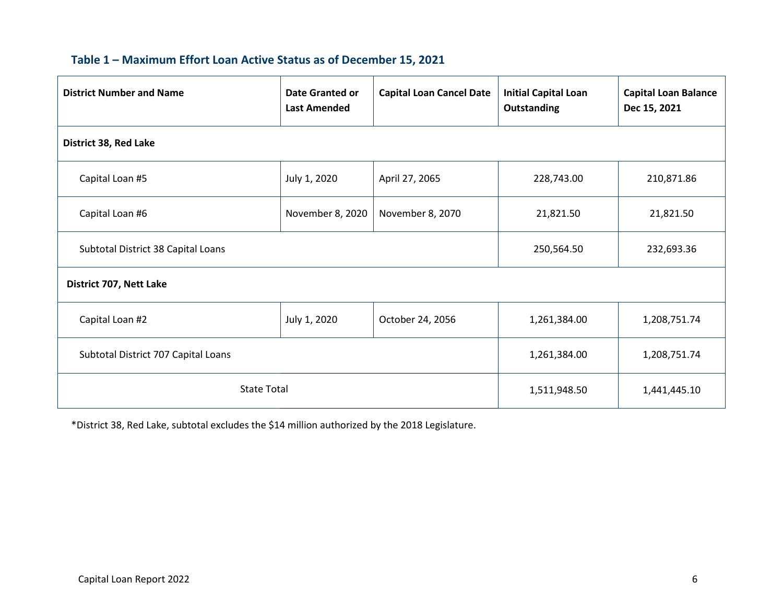|  |  |  | Table 1 - Maximum Effort Loan Active Status as of December 15, 2021 |
|--|--|--|---------------------------------------------------------------------|
|--|--|--|---------------------------------------------------------------------|

<span id="page-5-0"></span>

| <b>District Number and Name</b>     | <b>Date Granted or</b><br><b>Last Amended</b> | <b>Capital Loan Cancel Date</b> | <b>Initial Capital Loan</b><br><b>Outstanding</b> | <b>Capital Loan Balance</b><br>Dec 15, 2021 |
|-------------------------------------|-----------------------------------------------|---------------------------------|---------------------------------------------------|---------------------------------------------|
| District 38, Red Lake               |                                               |                                 |                                                   |                                             |
| Capital Loan #5                     | July 1, 2020                                  | April 27, 2065                  | 228,743.00                                        | 210,871.86                                  |
| Capital Loan #6                     | November 8, 2020                              | November 8, 2070                | 21,821.50                                         | 21,821.50                                   |
| Subtotal District 38 Capital Loans  | 250,564.50                                    | 232,693.36                      |                                                   |                                             |
| District 707, Nett Lake             |                                               |                                 |                                                   |                                             |
| Capital Loan #2                     | July 1, 2020                                  | October 24, 2056                | 1,261,384.00                                      | 1,208,751.74                                |
| Subtotal District 707 Capital Loans | 1,261,384.00                                  | 1,208,751.74                    |                                                   |                                             |
| <b>State Total</b>                  | 1,511,948.50                                  | 1,441,445.10                    |                                                   |                                             |

\*District 38, Red Lake, subtotal excludes the \$14 million authorized by the 2018 Legislature.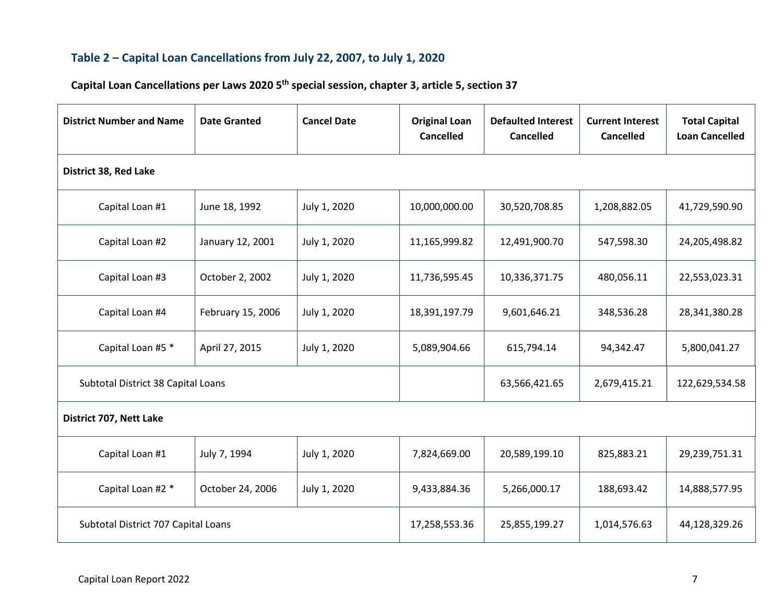#### **Table 2 – Capital Loan Cancellations from July 22, 2007, to July 1, 2020**

# **Capital Loan Cancellations per Laws 2020 5th special session, chapter 3, article 5, section 37**

<span id="page-6-0"></span>

| <b>District Number and Name</b>     | <b>Date Granted</b> | <b>Cancel Date</b> | <b>Original Loan</b><br><b>Cancelled</b> | <b>Defaulted Interest</b><br><b>Cancelled</b> | <b>Current Interest</b><br><b>Cancelled</b> | <b>Total Capital</b><br><b>Loan Cancelled</b> |
|-------------------------------------|---------------------|--------------------|------------------------------------------|-----------------------------------------------|---------------------------------------------|-----------------------------------------------|
| <b>District 38, Red Lake</b>        |                     |                    |                                          |                                               |                                             |                                               |
| Capital Loan #1                     | June 18, 1992       | July 1, 2020       | 10,000,000.00                            | 30,520,708.85                                 | 1,208,882.05                                | 41,729,590.90                                 |
| Capital Loan #2                     | January 12, 2001    | July 1, 2020       | 11,165,999.82                            | 12,491,900.70                                 | 547,598.30                                  | 24,205,498.82                                 |
| Capital Loan #3                     | October 2, 2002     | July 1, 2020       | 11,736,595.45                            | 10,336,371.75                                 | 480,056.11                                  | 22,553,023.31                                 |
| Capital Loan #4                     | February 15, 2006   | July 1, 2020       | 18,391,197.79                            | 9,601,646.21                                  | 348,536.28                                  | 28,341,380.28                                 |
| Capital Loan #5 *                   | April 27, 2015      | July 1, 2020       | 5,089,904.66                             | 615,794.14                                    | 94,342.47                                   | 5,800,041.27                                  |
| Subtotal District 38 Capital Loans  |                     |                    |                                          | 63,566,421.65                                 | 2,679,415.21                                | 122,629,534.58                                |
| District 707, Nett Lake             |                     |                    |                                          |                                               |                                             |                                               |
| Capital Loan #1                     | July 7, 1994        | July 1, 2020       | 7,824,669.00                             | 20,589,199.10                                 | 825,883.21                                  | 29,239,751.31                                 |
| Capital Loan #2 *                   | October 24, 2006    | July 1, 2020       | 9,433,884.36                             | 5,266,000.17                                  | 188,693.42                                  | 14,888,577.95                                 |
| Subtotal District 707 Capital Loans |                     |                    | 17,258,553.36                            | 25,855,199.27                                 | 1,014,576.63                                | 44,128,329.26                                 |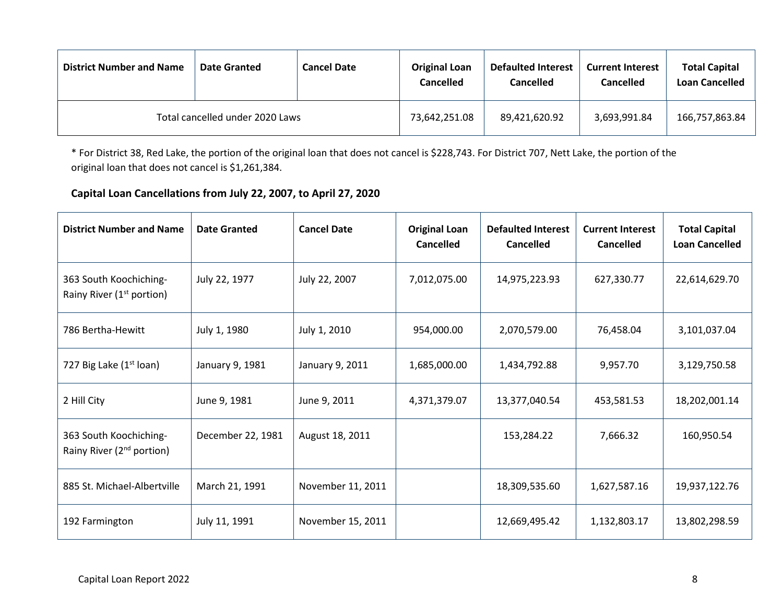| <b>District Number and Name</b> | <b>Date Granted</b> | <b>Cancel Date</b> | <b>Original Loan</b><br>Cancelled | <b>Defaulted Interest</b><br>Cancelled | <b>Current Interest</b><br>Cancelled | <b>Total Capital</b><br><b>Loan Cancelled</b> |
|---------------------------------|---------------------|--------------------|-----------------------------------|----------------------------------------|--------------------------------------|-----------------------------------------------|
| Total cancelled under 2020 Laws |                     |                    | 73,642,251.08                     | 89,421,620.92                          | 3,693,991.84                         | 166,757,863.84                                |

\* For District 38, Red Lake, the portion of the original loan that does not cancel is \$228,743. For District 707, Nett Lake, the portion of the original loan that does not cancel is \$1,261,384.

#### **Capital Loan Cancellations from July 22, 2007, to April 27, 2020**

| <b>District Number and Name</b>                                 | <b>Date Granted</b> | <b>Cancel Date</b> | <b>Original Loan</b><br><b>Cancelled</b> | <b>Defaulted Interest</b><br><b>Cancelled</b> | <b>Current Interest</b><br><b>Cancelled</b> | <b>Total Capital</b><br><b>Loan Cancelled</b> |
|-----------------------------------------------------------------|---------------------|--------------------|------------------------------------------|-----------------------------------------------|---------------------------------------------|-----------------------------------------------|
| 363 South Koochiching-<br>Rainy River (1 <sup>st</sup> portion) | July 22, 1977       | July 22, 2007      | 7,012,075.00                             | 14,975,223.93                                 | 627,330.77                                  | 22,614,629.70                                 |
| 786 Bertha-Hewitt                                               | July 1, 1980        | July 1, 2010       | 954,000.00                               | 2,070,579.00                                  | 76,458.04                                   | 3,101,037.04                                  |
| 727 Big Lake (1 <sup>st</sup> loan)                             | January 9, 1981     | January 9, 2011    | 1,685,000.00                             | 1,434,792.88                                  | 9,957.70                                    | 3,129,750.58                                  |
| 2 Hill City                                                     | June 9, 1981        | June 9, 2011       | 4,371,379.07                             | 13,377,040.54                                 | 453,581.53                                  | 18,202,001.14                                 |
| 363 South Koochiching-<br>Rainy River (2 <sup>nd</sup> portion) | December 22, 1981   | August 18, 2011    |                                          | 153,284.22                                    | 7,666.32                                    | 160,950.54                                    |
| 885 St. Michael-Albertville                                     | March 21, 1991      | November 11, 2011  |                                          | 18,309,535.60                                 | 1,627,587.16                                | 19,937,122.76                                 |
| 192 Farmington                                                  | July 11, 1991       | November 15, 2011  |                                          | 12,669,495.42                                 | 1,132,803.17                                | 13,802,298.59                                 |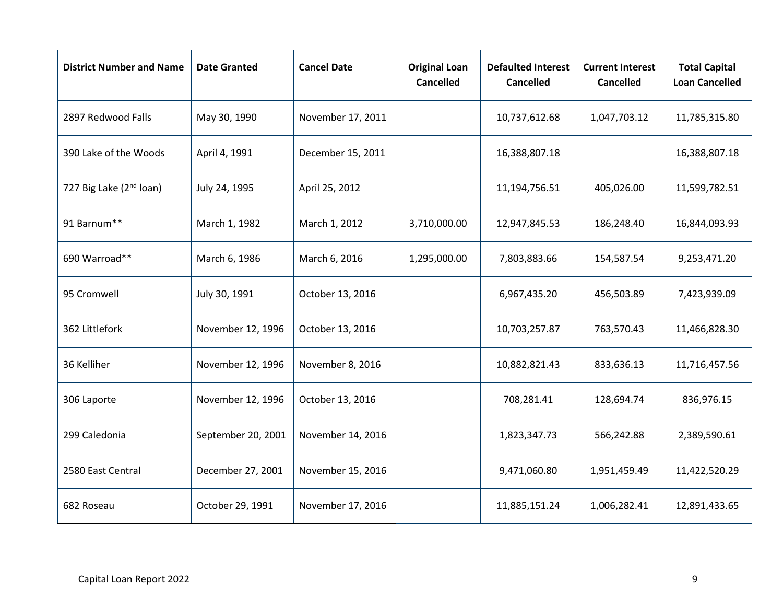| <b>District Number and Name</b>     | <b>Date Granted</b> | <b>Cancel Date</b> | <b>Original Loan</b><br><b>Cancelled</b> | <b>Defaulted Interest</b><br><b>Cancelled</b> | <b>Current Interest</b><br><b>Cancelled</b> | <b>Total Capital</b><br><b>Loan Cancelled</b> |
|-------------------------------------|---------------------|--------------------|------------------------------------------|-----------------------------------------------|---------------------------------------------|-----------------------------------------------|
| 2897 Redwood Falls                  | May 30, 1990        | November 17, 2011  |                                          | 10,737,612.68                                 | 1,047,703.12                                | 11,785,315.80                                 |
| 390 Lake of the Woods               | April 4, 1991       | December 15, 2011  |                                          | 16,388,807.18                                 |                                             | 16,388,807.18                                 |
| 727 Big Lake (2 <sup>nd</sup> loan) | July 24, 1995       | April 25, 2012     |                                          | 11,194,756.51                                 | 405,026.00                                  | 11,599,782.51                                 |
| 91 Barnum**                         | March 1, 1982       | March 1, 2012      | 3,710,000.00                             | 12,947,845.53                                 | 186,248.40                                  | 16,844,093.93                                 |
| 690 Warroad**                       | March 6, 1986       | March 6, 2016      | 1,295,000.00                             | 7,803,883.66                                  | 154,587.54                                  | 9,253,471.20                                  |
| 95 Cromwell                         | July 30, 1991       | October 13, 2016   |                                          | 6,967,435.20                                  | 456,503.89                                  | 7,423,939.09                                  |
| 362 Littlefork                      | November 12, 1996   | October 13, 2016   |                                          | 10,703,257.87                                 | 763,570.43                                  | 11,466,828.30                                 |
| 36 Kelliher                         | November 12, 1996   | November 8, 2016   |                                          | 10,882,821.43                                 | 833,636.13                                  | 11,716,457.56                                 |
| 306 Laporte                         | November 12, 1996   | October 13, 2016   |                                          | 708,281.41                                    | 128,694.74                                  | 836,976.15                                    |
| 299 Caledonia                       | September 20, 2001  | November 14, 2016  |                                          | 1,823,347.73                                  | 566,242.88                                  | 2,389,590.61                                  |
| 2580 East Central                   | December 27, 2001   | November 15, 2016  |                                          | 9,471,060.80                                  | 1,951,459.49                                | 11,422,520.29                                 |
| 682 Roseau                          | October 29, 1991    | November 17, 2016  |                                          | 11,885,151.24                                 | 1,006,282.41                                | 12,891,433.65                                 |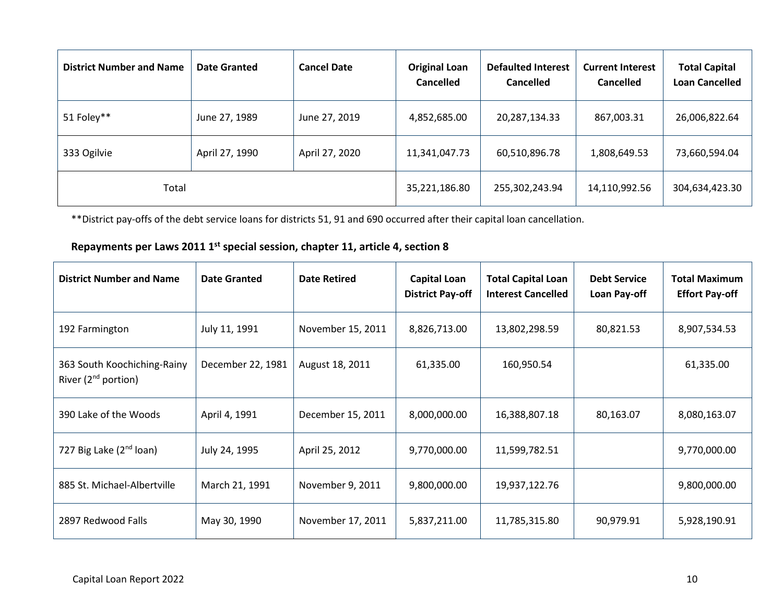| <b>District Number and Name</b> | <b>Date Granted</b> | <b>Cancel Date</b> | <b>Original Loan</b><br><b>Cancelled</b> | <b>Defaulted Interest</b><br><b>Cancelled</b> | <b>Current Interest</b><br><b>Cancelled</b> | <b>Total Capital</b><br><b>Loan Cancelled</b> |
|---------------------------------|---------------------|--------------------|------------------------------------------|-----------------------------------------------|---------------------------------------------|-----------------------------------------------|
| 51 Foley**                      | June 27, 1989       | June 27, 2019      | 4,852,685.00                             | 20,287,134.33                                 | 867,003.31                                  | 26,006,822.64                                 |
| 333 Ogilvie                     | April 27, 1990      | April 27, 2020     | 11,341,047.73                            | 60,510,896.78                                 | 1,808,649.53                                | 73,660,594.04                                 |
| Total                           |                     |                    | 35,221,186.80                            | 255,302,243.94                                | 14,110,992.56                               | 304,634,423.30                                |

\*\*District pay-offs of the debt service loans for districts 51, 91 and 690 occurred after their capital loan cancellation.

#### **Repayments per Laws 2011 1st special session, chapter 11, article 4, section 8**

| <b>District Number and Name</b>                         | <b>Date Granted</b> | <b>Date Retired</b> | <b>Capital Loan</b><br><b>District Pay-off</b> | <b>Total Capital Loan</b><br><b>Interest Cancelled</b> | <b>Debt Service</b><br>Loan Pay-off | <b>Total Maximum</b><br><b>Effort Pay-off</b> |
|---------------------------------------------------------|---------------------|---------------------|------------------------------------------------|--------------------------------------------------------|-------------------------------------|-----------------------------------------------|
| 192 Farmington                                          | July 11, 1991       | November 15, 2011   | 8,826,713.00                                   | 13,802,298.59                                          | 80,821.53                           | 8,907,534.53                                  |
| 363 South Koochiching-Rainy<br>River $(2^{nd}$ portion) | December 22, 1981   | August 18, 2011     | 61,335.00                                      | 160,950.54                                             |                                     | 61,335.00                                     |
| 390 Lake of the Woods                                   | April 4, 1991       | December 15, 2011   | 8,000,000.00                                   | 16,388,807.18                                          | 80,163.07                           | 8,080,163.07                                  |
| 727 Big Lake (2 <sup>nd</sup> loan)                     | July 24, 1995       | April 25, 2012      | 9,770,000.00                                   | 11,599,782.51                                          |                                     | 9,770,000.00                                  |
| 885 St. Michael-Albertville                             | March 21, 1991      | November 9, 2011    | 9,800,000.00                                   | 19,937,122.76                                          |                                     | 9,800,000.00                                  |
| 2897 Redwood Falls                                      | May 30, 1990        | November 17, 2011   | 5,837,211.00                                   | 11,785,315.80                                          | 90,979.91                           | 5,928,190.91                                  |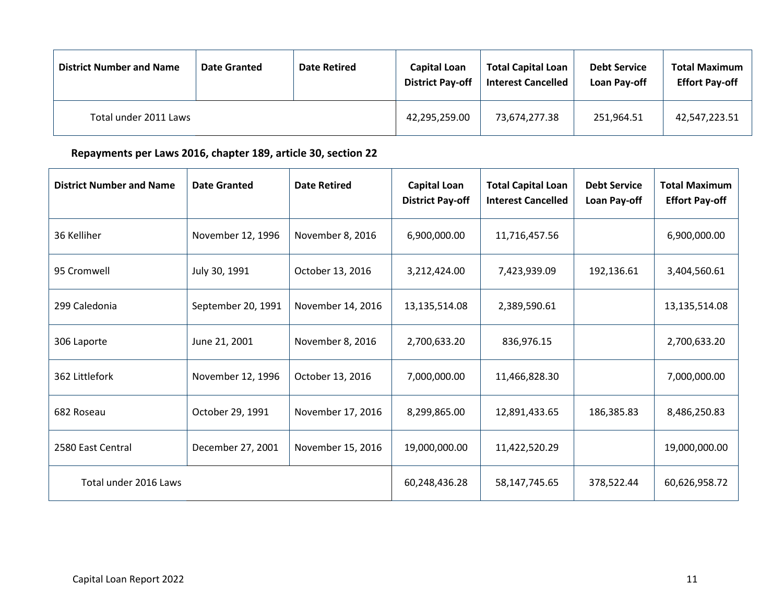| <b>District Number and Name</b> | <b>Date Granted</b> | <b>Date Retired</b> | <b>Capital Loan</b><br><b>District Pay-off</b> | <b>Total Capital Loan</b><br><b>Interest Cancelled</b> | <b>Debt Service</b><br>Loan Pay-off | <b>Total Maximum</b><br><b>Effort Pay-off</b> |
|---------------------------------|---------------------|---------------------|------------------------------------------------|--------------------------------------------------------|-------------------------------------|-----------------------------------------------|
| Total under 2011 Laws           |                     |                     | 42,295,259.00                                  | 73,674,277.38                                          | 251,964.51                          | 42,547,223.51                                 |

**Repayments per Laws 2016, chapter 189, article 30, section 22**

| <b>District Number and Name</b> | <b>Date Granted</b> | <b>Date Retired</b> | <b>Capital Loan</b><br><b>District Pay-off</b> | <b>Total Capital Loan</b><br><b>Interest Cancelled</b> | <b>Debt Service</b><br>Loan Pay-off | <b>Total Maximum</b><br><b>Effort Pay-off</b> |
|---------------------------------|---------------------|---------------------|------------------------------------------------|--------------------------------------------------------|-------------------------------------|-----------------------------------------------|
| 36 Kelliher                     | November 12, 1996   | November 8, 2016    | 6,900,000.00                                   | 11,716,457.56                                          |                                     | 6,900,000.00                                  |
| 95 Cromwell                     | July 30, 1991       | October 13, 2016    | 3,212,424.00                                   | 7,423,939.09                                           | 192,136.61                          | 3,404,560.61                                  |
| 299 Caledonia                   | September 20, 1991  | November 14, 2016   | 13,135,514.08                                  | 2,389,590.61                                           |                                     | 13,135,514.08                                 |
| 306 Laporte                     | June 21, 2001       | November 8, 2016    | 2,700,633.20                                   | 836,976.15                                             |                                     | 2,700,633.20                                  |
| 362 Littlefork                  | November 12, 1996   | October 13, 2016    | 7,000,000.00                                   | 11,466,828.30                                          |                                     | 7,000,000.00                                  |
| 682 Roseau                      | October 29, 1991    | November 17, 2016   | 8,299,865.00                                   | 12,891,433.65                                          | 186,385.83                          | 8,486,250.83                                  |
| 2580 East Central               | December 27, 2001   | November 15, 2016   | 19,000,000.00                                  | 11,422,520.29                                          |                                     | 19,000,000.00                                 |
| Total under 2016 Laws           |                     |                     | 60,248,436.28                                  | 58,147,745.65                                          | 378,522.44                          | 60,626,958.72                                 |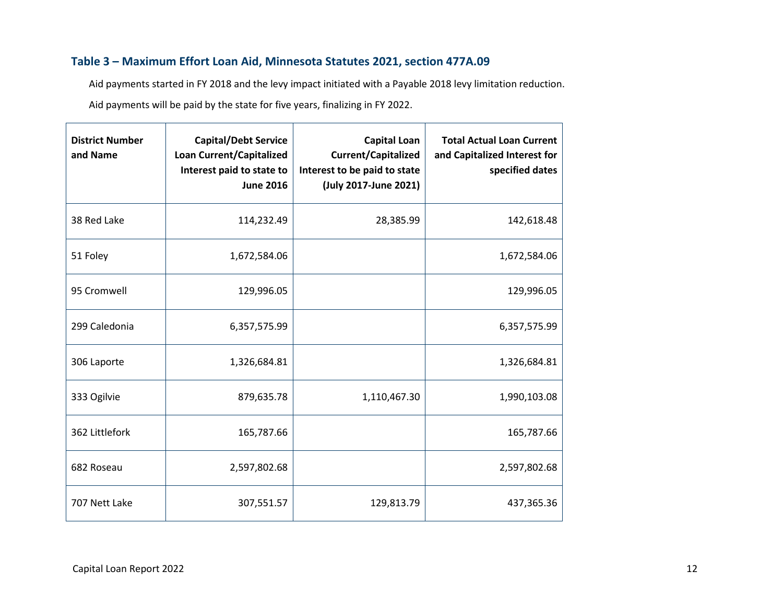#### **Table 3 – Maximum Effort Loan Aid, Minnesota Statutes 2021, section 477A.09**

Aid payments started in FY 2018 and the levy impact initiated with a Payable 2018 levy limitation reduction. Aid payments will be paid by the state for five years, finalizing in FY 2022.

<span id="page-11-0"></span>

| <b>District Number</b><br>and Name | <b>Capital/Debt Service</b><br><b>Loan Current/Capitalized</b><br>Interest paid to state to<br><b>June 2016</b> | <b>Capital Loan</b><br><b>Current/Capitalized</b><br>Interest to be paid to state<br>(July 2017-June 2021) | <b>Total Actual Loan Current</b><br>and Capitalized Interest for<br>specified dates |
|------------------------------------|-----------------------------------------------------------------------------------------------------------------|------------------------------------------------------------------------------------------------------------|-------------------------------------------------------------------------------------|
| 38 Red Lake                        | 114,232.49                                                                                                      | 28,385.99                                                                                                  | 142,618.48                                                                          |
| 51 Foley                           | 1,672,584.06                                                                                                    |                                                                                                            | 1,672,584.06                                                                        |
| 95 Cromwell                        | 129,996.05                                                                                                      |                                                                                                            | 129,996.05                                                                          |
| 299 Caledonia                      | 6,357,575.99                                                                                                    |                                                                                                            | 6,357,575.99                                                                        |
| 306 Laporte                        | 1,326,684.81                                                                                                    |                                                                                                            | 1,326,684.81                                                                        |
| 333 Ogilvie                        | 879,635.78                                                                                                      | 1,110,467.30                                                                                               | 1,990,103.08                                                                        |
| 362 Littlefork                     | 165,787.66                                                                                                      |                                                                                                            | 165,787.66                                                                          |
| 682 Roseau                         | 2,597,802.68                                                                                                    |                                                                                                            | 2,597,802.68                                                                        |
| 707 Nett Lake                      | 307,551.57                                                                                                      | 129,813.79                                                                                                 | 437,365.36                                                                          |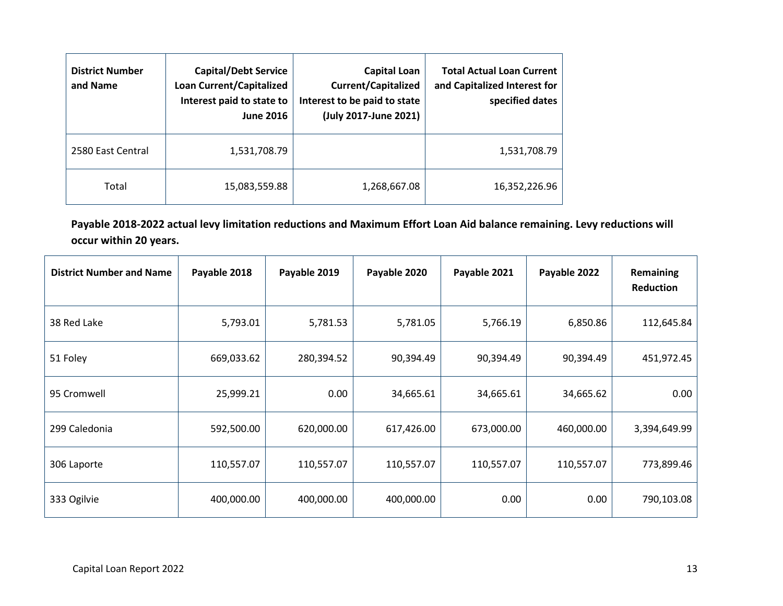| <b>District Number</b><br>and Name | <b>Capital/Debt Service</b><br><b>Loan Current/Capitalized</b><br>Interest paid to state to<br><b>June 2016</b> | <b>Capital Loan</b><br><b>Current/Capitalized</b><br>Interest to be paid to state<br>(July 2017-June 2021) | <b>Total Actual Loan Current</b><br>and Capitalized Interest for<br>specified dates |
|------------------------------------|-----------------------------------------------------------------------------------------------------------------|------------------------------------------------------------------------------------------------------------|-------------------------------------------------------------------------------------|
| 2580 East Central                  | 1,531,708.79                                                                                                    |                                                                                                            | 1,531,708.79                                                                        |
| Total                              | 15,083,559.88                                                                                                   | 1,268,667.08                                                                                               | 16,352,226.96                                                                       |

**Payable 2018-2022 actual levy limitation reductions and Maximum Effort Loan Aid balance remaining. Levy reductions will occur within 20 years.**

| <b>District Number and Name</b> | Payable 2018 | Payable 2019 | Payable 2020 | Payable 2021 | Payable 2022 | Remaining<br>Reduction |
|---------------------------------|--------------|--------------|--------------|--------------|--------------|------------------------|
| 38 Red Lake                     | 5,793.01     | 5,781.53     | 5,781.05     | 5,766.19     | 6,850.86     | 112,645.84             |
| 51 Foley                        | 669,033.62   | 280,394.52   | 90,394.49    | 90,394.49    | 90,394.49    | 451,972.45             |
| 95 Cromwell                     | 25,999.21    | 0.00         | 34,665.61    | 34,665.61    | 34,665.62    | 0.00                   |
| 299 Caledonia                   | 592,500.00   | 620,000.00   | 617,426.00   | 673,000.00   | 460,000.00   | 3,394,649.99           |
| 306 Laporte                     | 110,557.07   | 110,557.07   | 110,557.07   | 110,557.07   | 110,557.07   | 773,899.46             |
| 333 Ogilvie                     | 400,000.00   | 400,000.00   | 400,000.00   | 0.00         | 0.00         | 790,103.08             |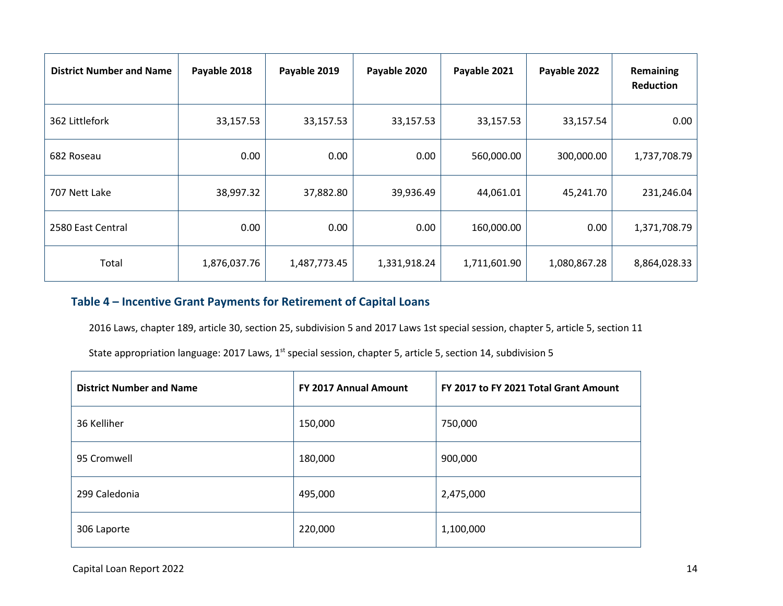| <b>District Number and Name</b> | Payable 2018 | Payable 2019 | Payable 2020 | Payable 2021 | Payable 2022 | Remaining<br><b>Reduction</b> |
|---------------------------------|--------------|--------------|--------------|--------------|--------------|-------------------------------|
| 362 Littlefork                  | 33,157.53    | 33,157.53    | 33,157.53    | 33,157.53    | 33,157.54    | 0.00                          |
| 682 Roseau                      | 0.00         | 0.00         | 0.00         | 560,000.00   | 300,000.00   | 1,737,708.79                  |
| 707 Nett Lake                   | 38,997.32    | 37,882.80    | 39,936.49    | 44,061.01    | 45,241.70    | 231,246.04                    |
| 2580 East Central               | 0.00         | 0.00         | 0.00         | 160,000.00   | 0.00         | 1,371,708.79                  |
| Total                           | 1,876,037.76 | 1,487,773.45 | 1,331,918.24 | 1,711,601.90 | 1,080,867.28 | 8,864,028.33                  |

#### **Table 4 – Incentive Grant Payments for Retirement of Capital Loans**

2016 Laws, chapter 189, article 30, section 25, subdivision 5 and 2017 Laws 1st special session, chapter 5, article 5, section 11

State appropriation language: 2017 Laws, 1<sup>st</sup> special session, chapter 5, article 5, section 14, subdivision 5

<span id="page-13-0"></span>

| <b>District Number and Name</b> | <b>FY 2017 Annual Amount</b> | FY 2017 to FY 2021 Total Grant Amount |
|---------------------------------|------------------------------|---------------------------------------|
| 36 Kelliher                     | 150,000                      | 750,000                               |
| 95 Cromwell                     | 180,000                      | 900,000                               |
| 299 Caledonia                   | 495,000                      | 2,475,000                             |
| 306 Laporte                     | 220,000                      | 1,100,000                             |